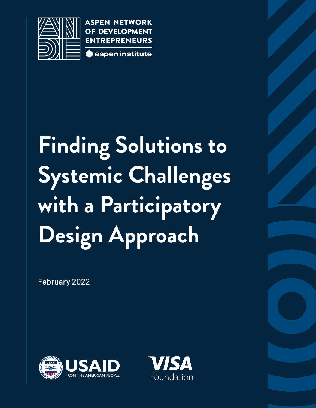

**ASPEN NETWORK** OF DEVELOPMENT **ENTREPRENEURS** 



# **Finding Solutions to Systemic Challenges with a Participatory Design Approach**

February 2022



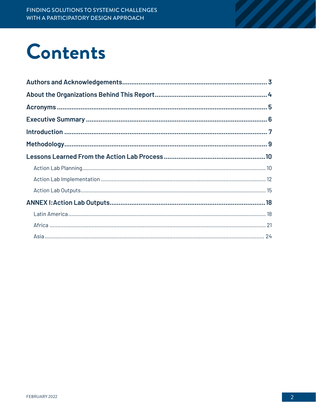# **Contents**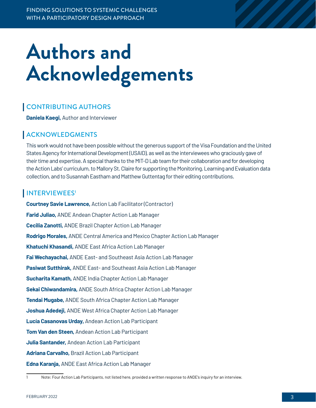# <span id="page-2-0"></span>**Authors and Acknowledgements**

## CONTRIBUTING AUTHORS

**Daniela Kaegi,** Author and Interviewer

### ACKNOWLEDGMENTS

This work would not have been possible without the generous support of the Visa Foundation and the United States Agency for International Development (USAID), as well as the interviewees who graciously gave of their time and expertise. A special thanks to the MIT-D Lab team for their collaboration and for developing the Action Labs' curriculum, to Mallory St. Claire for supporting the Monitoring, Learning and Evaluation data collection, and to Susannah Eastham and Matthew Guttentag for their editing contributions.

### INTERVIEWEES<sup>1</sup>

**Courtney Savie Lawrence,** Action Lab Facilitator (Contractor) **Farid Juliao,** ANDE Andean Chapter Action Lab Manager **Cecilia Zanotti,** ANDE Brazil Chapter Action Lab Manager **Rodrigo Morales,** ANDE Central America and Mexico Chapter Action Lab Manager **Khatuchi Khasandi,** ANDE East Africa Action Lab Manager **Fai Wechayachai,** ANDE East- and Southeast Asia Action Lab Manager **[Pasiwat Sutthirak,](mailto:pasiwat.sutthirak@aspeninstitute.org)** ANDE East- and Southeast Asia Action Lab Manager **Sucharita Kamath,** ANDE India Chapter Action Lab Manager **Sekai Chiwandamira,** ANDE South Africa Chapter Action Lab Manager **Tendai Mugabe,** ANDE South Africa Chapter Action Lab Manager **[Joshua Adedeji,](mailto:joshua.adedeji@aspeninstitute.org)** ANDE West Africa Chapter Action Lab Manager **Lucía Casanovas Urday,** Andean Action Lab Participant **Tom Van den Steen,** Andean Action Lab Participant **Julia Santander,** Andean Action Lab Participant **Adriana Carvalho,** Brazil Action Lab Participant **Edna Karanja,** ANDE East Africa Action Lab Manager

<sup>1</sup> Note: Four Action Lab Participants, not listed here, provided a written response to ANDE's inquiry for an interview.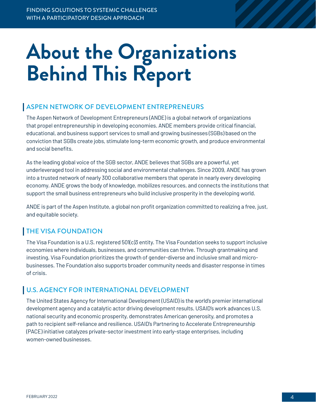# <span id="page-3-0"></span>**About the Organizations Behind This Report**

### ASPEN NETWORK OF DEVELOPMENT ENTREPRENEURS

The Aspen Network of Development Entrepreneurs (ANDE) is a global network of organizations that propel entrepreneurship in developing economies. ANDE members provide critical financial, educational, and business support services to small and growing businesses (SGBs) based on the conviction that SGBs create jobs, stimulate long-term economic growth, and produce environmental and social benefits.

As the leading global voice of the SGB sector, ANDE believes that SGBs are a powerful, yet underleveraged tool in addressing social and environmental challenges. Since 2009, ANDE has grown into a trusted network of nearly 300 collaborative members that operate in nearly every developing economy. ANDE grows the body of knowledge, mobilizes resources, and connects the institutions that support the small business entrepreneurs who build inclusive prosperity in the developing world.

ANDE is part of the Aspen Institute, a global non profit organization committed to realizing a free, just, and equitable society.

## THE VISA FOUNDATION

The Visa Foundation is a U.S. registered 501(c)3 entity. The Visa Foundation seeks to support inclusive economies where individuals, businesses, and communities can thrive. Through grantmaking and investing, Visa Foundation prioritizes the growth of gender-diverse and inclusive small and microbusinesses. The Foundation also supports broader community needs and disaster response in times of crisis.

### U.S. AGENCY FOR INTERNATIONAL DEVELOPMENT

The United States Agency for International Development (USAID) is the world's premier international development agency and a catalytic actor driving development results. USAID's work advances U.S. national security and economic prosperity, demonstrates American generosity, and promotes a path to recipient self-reliance and resilience. USAID's Partnering to Accelerate Entrepreneurship (PACE) initiative catalyzes private-sector investment into early-stage enterprises, including women-owned businesses.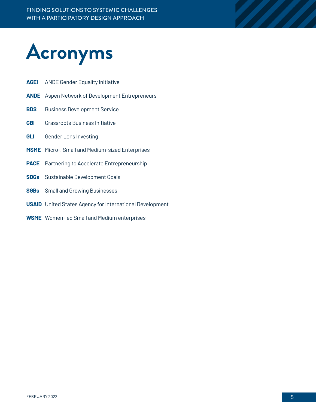<span id="page-4-0"></span>

- **AGEI** ANDE Gender Equality Initiative
- **ANDE** Aspen Network of Development Entrepreneurs
- **BDS** Business Development Service
- **GBI** Grassroots Business Initiative
- **GLI** Gender Lens Investing
- **MSME** Micro-, Small and Medium-sized Enterprises
- **PACE** Partnering to Accelerate Entrepreneurship
- **SDGs** Sustainable Development Goals
- **SGBs** Small and Growing Businesses
- **USAID** United States Agency for International Development
- **WSME** Women-led Small and Medium enterprises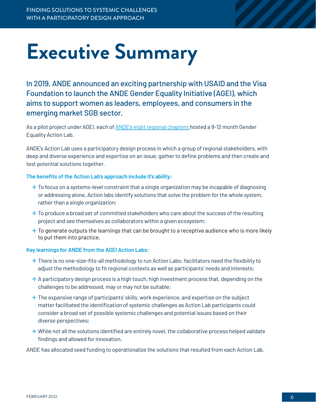# <span id="page-5-0"></span>**Executive Summary**

In 2019, ANDE announced an exciting partnership with USAID and the Visa Foundation to launch the ANDE Gender Equality Initiative (AGEI), which aims to support women as leaders, employees, and consumers in the emerging market SGB sector.

As a pilot project under AGEI, each of **ANDE's eight regional chapters** hosted a 9-12 month Gender Equality Action Lab.

ANDE's Action Lab uses a participatory design process in which a group of regional stakeholders, with deep and diverse experience and expertise on an issue, gather to define problems and then create and test potential solutions together.

#### **The benefits of the Action Lab's approach include it's ability:**

- $\pm$  To focus on a systems-level constraint that a single organization may be incapable of diagnosing or addressing alone. Action labs identify solutions that solve the problem for the whole system, rather than a single organization;
- $\pm$  To produce a broad set of committed stakeholders who care about the success of the resulting project and see themselves as collaborators within a given ecosystem;
- $\pm$  To generate outputs the learnings that can be brought to a receptive audience who is more likely to put them into practice.

#### **Key learnings for ANDE from the AGEI Action Labs:**

- ✛ There is no one-size-fits-all methodology to run Action Labs: facilitators need the flexibility to adjust the methodology to fit regional contexts as well as participants' needs and interests;
- $\pm$  A participatory design process is a high touch, high investment process that, depending on the challenges to be addressed, may or may not be suitable;
- $\pm$  The expansive range of participants' skills, work experience, and expertise on the subject matter facilitated the identification of systemic challenges as Action Lab participants could consider a broad set of possible systemic challenges and potential issues based on their diverse perspectives;
- ✛ While not all the solutions identified are entirely novel, the collaborative process helped validate findings and allowed for innovation.

ANDE has allocated seed funding to operationalize the solutions that resulted from each Action Lab.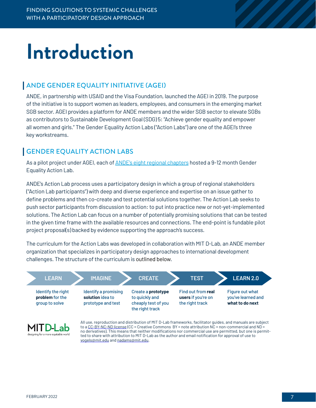# <span id="page-6-0"></span>**Introduction**

### ANDE GENDER EQUALITY INITIATIVE (AGEI)

ANDE, in partnership with USAID and the Visa Foundation, launched the AGEI in 2019. The purpose of the initiative is to support women as leaders, employees, and consumers in the emerging market SGB sector. AGEI provides a platform for ANDE members and the wider SGB sector to elevate SGBs as contributors to Sustainable Development Goal (SDG) 5: "Achieve gender equality and empower all women and girls." The Gender Equality Action Labs ("Action Labs") are one of the AGEI's three key workstreams.

### GENDER EQUALITY ACTION LABS

As a pilot project under AGEI, each of [ANDE's eight regional chapters](https://www.andeglobal.org/chapters/) hosted a 9-12 month Gender Equality Action Lab.

ANDE's Action Lab process uses a participatory design in which a group of regional stakeholders ("Action Lab participants") with deep and diverse experience and expertise on an issue gather to define problems and then co-create and test potential solutions together. The Action Lab seeks to push sector participants from discussion to action: to put into practice new or not-yet-implemented solutions. The Action Lab can focus on a number of potentially promising solutions that can be tested in the given time frame with the available resources and connections. The end-point is fundable pilot project proposal(s) backed by evidence supporting the approach's success.

The curriculum for the Action Labs was developed in collaboration with MIT D-Lab, an ANDE member organization that specializes in participatory design approaches to international development challenges. The structure of the curriculum is outlined below.



ted to share with attribution to MIT D-Lab as the author and email notification for approval of use to [vogels@mit.edu](mailto:vogels@mit.edu) and [nadams@mit.edu.](mailto:nadams@mit.edu)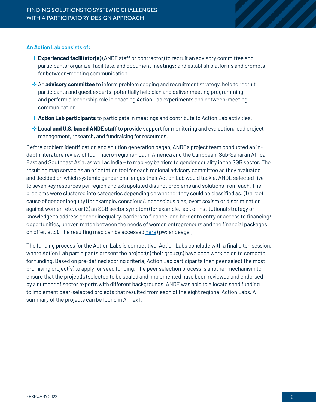#### **An Action Lab consists of:**

- $\pm$  **Experienced facilitator(s)** (ANDE staff or contractor) to recruit an advisory committee and participants; organize, facilitate, and document meetings; and establish platforms and prompts for between-meeting communication.
- $\div$  **An advisory committee** to inform problem scoping and recruitment strategy, help to recruit participants and guest experts, potentially help plan and deliver meeting programming, and perform a leadership role in enacting Action Lab experiments and between-meeting communication.
- ✛ **Action Lab participants** to participate in meetings and contribute to Action Lab activities.
- **<sup>→</sup> Local and U.S. based ANDE staff** to provide support for monitoring and evaluation, lead project management, research, and fundraising for resources.

Before problem identification and solution generation began, ANDE's project team conducted an indepth literature review of four macro-regions - Latin America and the Caribbean, Sub-Saharan Africa, East and Southeast Asia, as well as India – to map key barriers to gender equality in the SGB sector. The resulting map served as an orientation tool for each regional advisory committee as they evaluated and decided on which systemic gender challenges their Action Lab would tackle. ANDE selected five to seven key resources per region and extrapolated distinct problems and solutions from each. The problems were clustered into categories depending on whether they could be classified as: (1) a root cause of gender inequity (for example, conscious/unconscious bias, overt sexism or discrimination against women, etc.), or (2) an SGB sector symptom (for example, lack of institutional strategy or knowledge to address gender inequality, barriers to finance, and barrier to entry or access to financing/ opportunities, uneven match between the needs of women entrepreneurs and the financial packages on offer, etc.). The resulting map can be accessed [here](https://ande-global.kumu.io/mapping-gender-equality-barriers-solutions?token=rlrXcfva4iiKDQhu) (pw: andeagei).

The funding process for the Action Labs is competitive. Action Labs conclude with a final pitch session, where Action Lab participants present the project(s) their group(s) have been working on to compete for funding. Based on pre-defined scoring criteria, Action Lab participants then peer select the most promising project(s) to apply for seed funding. The peer selection process is another mechanism to ensure that the project(s) selected to be scaled and implemented have been reviewed and endorsed by a number of sector experts with different backgrounds. ANDE was able to allocate seed funding to implement peer-selected projects that resulted from each of the eight regional Action Labs. A summary of the projects can be found in Annex I.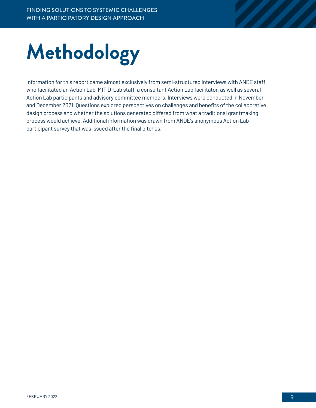# <span id="page-8-0"></span>**Methodology**

Information for this report came almost exclusively from semi-structured interviews with ANDE staff who facilitated an Action Lab, MIT D-Lab staff, a consultant Action Lab facilitator, as well as several Action Lab participants and advisory committee members. Interviews were conducted in November and December 2021. Questions explored perspectives on challenges and benefits of the collaborative design process and whether the solutions generated differed from what a traditional grantmaking process would achieve. Additional information was drawn from ANDE's anonymous Action Lab participant survey that was issued after the final pitches.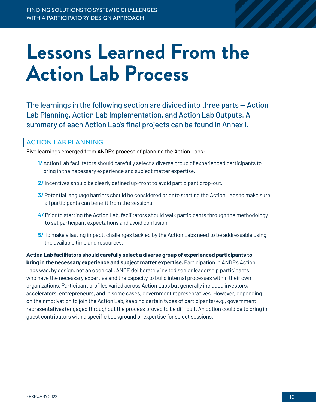# <span id="page-9-0"></span>**Lessons Learned From the Action Lab Process**

The learnings in the following section are divided into three parts — Action Lab Planning, Action Lab Implementation, and Action Lab Outputs. A summary of each Action Lab's final projects can be found in Annex I.

### ACTION LAB PLANNING

Five learnings emerged from ANDE's process of planning the Action Labs:

- **1/** Action Lab facilitators should carefully select a diverse group of experienced participants to bring in the necessary experience and subject matter expertise.
- **2/** Incentives should be clearly defined up-front to avoid participant drop-out.
- **3/** Potential language barriers should be considered prior to starting the Action Labs to make sure all participants can benefit from the sessions.
- **4/** Prior to starting the Action Lab, facilitators should walk participants through the methodology to set participant expectations and avoid confusion.
- **5/** To make a lasting impact, challenges tackled by the Action Labs need to be addressable using the available time and resources.

**Action Lab facilitators should carefully select a diverse group of experienced participants to bring in the necessary experience and subject matter expertise.** Participation in ANDE's Action Labs was, by design, not an open call. ANDE deliberately invited senior leadership participants who have the necessary expertise and the capacity to build internal processes within their own organizations. Participant profiles varied across Action Labs but generally included investors, accelerators, entrepreneurs, and in some cases, government representatives. However, depending on their motivation to join the Action Lab, keeping certain types of participants (e.g., government representatives) engaged throughout the process proved to be difficult. An option could be to bring in guest contributors with a specific background or expertise for select sessions.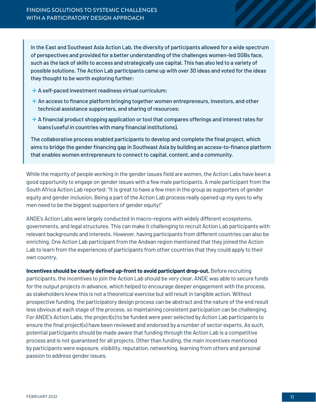In the East and Southeast Asia Action Lab, the diversity of participants allowed for a wide spectrum of perspectives and provided for a better understanding of the challenges women-led SGBs face, such as the lack of skills to access and strategically use capital. This has also led to a variety of possible solutions. The Action Lab participants came up with over 30 ideas and voted for the ideas they thought to be worth exploring further:

- ✛ A self-paced investment readiness virtual curriculum;
- $+$  An access to finance platform bringing together women entrepreneurs, investors, and other technical assistance supporters, and sharing of resources;
- $\pm$  A financial product shopping application or tool that compares offerings and interest rates for loans (useful in countries with many financial institutions).

The collaborative process enabled participants to develop and complete the final project, which aims to bridge the gender financing gap in Southeast Asia by building an access-to-finance platform that enables women entrepreneurs to connect to capital, content, and a community.

While the majority of people working in the gender issues field are women, the Action Labs have been a good opportunity to engage on gender issues with a few male participants. A male participant from the South Africa Action Lab reported: "It is great to have a few men in the group as supporters of gender equity and gender inclusion. Being a part of the Action Lab process really opened up my eyes to why men need to be the biggest supporters of gender equity!"

ANDE's Action Labs were largely conducted in macro-regions with widely different ecosystems, governments, and legal structures. This can make it challenging to recruit Action Lab participants with relevant backgrounds and interests. However, having participants from different countries can also be enriching. One Action Lab participant from the Andean region mentioned that they joined the Action Lab to learn from the experiences of participants from other countries that they could apply to their own country.

**Incentives should be clearly defined up-front to avoid participant drop-out.** Before recruiting participants, the incentives to join the Action Lab should be very clear. ANDE was able to secure funds for the output projects in advance, which helped to encourage deeper engagement with the process, as stakeholders knew this is not a theoretical exercise but will result in tangible action. Without prospective funding, the participatory design process can be abstract and the nature of the end result less obvious at each stage of the process, so maintaining consistent participation can be challenging. For ANDE's Action Labs, the project(s) to be funded were peer selected by Action Lab participants to ensure the final project(s) have been reviewed and endorsed by a number of sector experts. As such, potential participants should be made aware that funding through the Action Lab is a competitive process and is not guaranteed for all projects. Other than funding, the main incentives mentioned by participants were exposure, visibility, reputation, networking, learning from others and personal passion to address gender issues.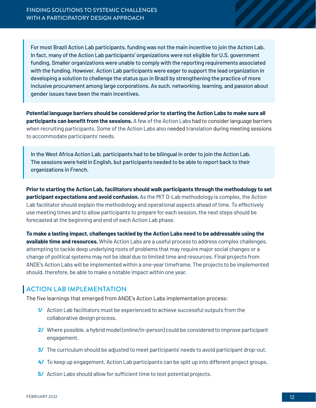<span id="page-11-0"></span>For most Brazil Action Lab participants, funding was not the main incentive to join the Action Lab. In fact, many of the Action Lab participants' organizations were not eligible for U.S. government funding. Smaller organizations were unable to comply with the reporting requirements associated with the funding. However, Action Lab participants were eager to support the lead organization in developing a solution to challenge the status quo in Brazil by strengthening the practice of more inclusive procurement among large corporations. As such, networking, learning, and passion about gender issues have been the main incentives.

**Potential language barriers should be considered prior to starting the Action Labs to make sure all participants can benefit from the sessions.** A few of the Action Labs had to consider language barriers when recruiting participants. Some of the Action Labs also needed translation during meeting sessions to accommodate participants' needs.

In the West Africa Action Lab, participants had to be bilingual in order to join the Action Lab. The sessions were held in English, but participants needed to be able to report back to their organizations in French.

**Prior to starting the Action Lab, facilitators should walk participants through the methodology to set participant expectations and avoid confusion.** As the MIT D-Lab methodology is complex, the Action Lab facilitator should explain the methodology and operational aspects ahead of time. To effectively use meeting times and to allow participants to prepare for each session, the next steps should be forecasted at the beginning and end of each Action Lab phase.

**To make a lasting impact, challenges tackled by the Action Labs need to be addressable using the available time and resources.** While Action Labs are a useful process to address complex challenges, attempting to tackle deep underlying roots of problems that may require major social changes or a change of political systems may not be ideal due to limited time and resources. Final projects from ANDE's Action Labs will be implemented within a one-year timeframe. The projects to be implemented should, therefore, be able to make a notable impact within one year.

### ACTION LAB IMPLEMENTATION

The five learnings that emerged from ANDE's Action Labs implementation process:

- **1/** Action Lab facilitators must be experienced to achieve successful outputs from the collaborative design process.
- **2/** Where possible, a hybrid model (online/in-person) could be considered to improve participant engagement.
- **3/** The curriculum should be adjusted to meet participants' needs to avoid participant drop-out.
- **4/** To keep up engagement, Action Lab participants can be split up into different project groups.
- **5/** Action Labs should allow for sufficient time to test potential projects.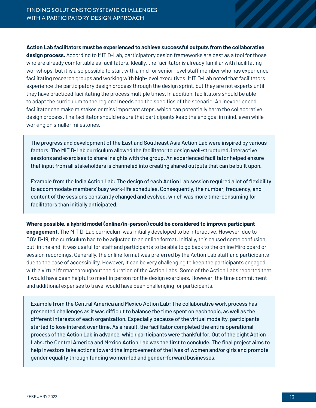#### **Action Lab facilitators must be experienced to achieve successful outputs from the collaborative**

**design process.** According to MIT D-Lab, participatory design frameworks are best as a tool for those who are already comfortable as facilitators. Ideally, the facilitator is already familiar with facilitating workshops, but it is also possible to start with a mid- or senior-level staff member who has experience facilitating research groups and working with high-level executives. MIT D-Lab noted that facilitators experience the participatory design process through the design sprint, but they are not experts until they have practiced facilitating the process multiple times. In addition, facilitators should be able to adapt the curriculum to the regional needs and the specifics of the scenario. An inexperienced facilitator can make mistakes or miss important steps, which can potentially harm the collaborative design process. The facilitator should ensure that participants keep the end goal in mind, even while working on smaller milestones.

The progress and development of the East and Southeast Asia Action Lab were inspired by various factors. The MIT D-Lab curriculum allowed the facilitator to design well-structured, interactive sessions and exercises to share insights with the group. An experienced facilitator helped ensure that input from all stakeholders is channeled into creating shared outputs that can be built upon.

Example from the India Action Lab: The design of each Action Lab session required a lot of flexibility to accommodate members' busy work-life schedules. Consequently, the number, frequency, and content of the sessions constantly changed and evolved, which was more time-consuming for facilitators than initially anticipated.

#### **Where possible, a hybrid model (online/in-person) could be considered to improve participant engagement.** The MIT D-Lab curriculum was initially developed to be interactive. However, due to

COVID-19, the curriculum had to be adjusted to an online format. Initially, this caused some confusion, but, in the end, it was useful for staff and participants to be able to go back to the online Miro board or session recordings. Generally, the online format was preferred by the Action Lab staff and participants due to the ease of accessibility. However, it can be very challenging to keep the participants engaged with a virtual format throughout the duration of the Action Labs. Some of the Action Labs reported that it would have been helpful to meet in person for the design exercises. However, the time commitment and additional expenses to travel would have been challenging for participants.

Example from the Central America and Mexico Action Lab: The collaborative work process has presented challenges as it was difficult to balance the time spent on each topic, as well as the different interests of each organization. Especially because of the virtual modality, participants started to lose interest over time. As a result, the facilitator completed the entire operational process of the Action Lab in advance, which participants were thankful for. Out of the eight Action Labs, the Central America and Mexico Action Lab was the first to conclude. The final project aims to help investors take actions toward the improvement of the lives of women and/or girls and promote gender equality through funding women-led and gender-forward businesses.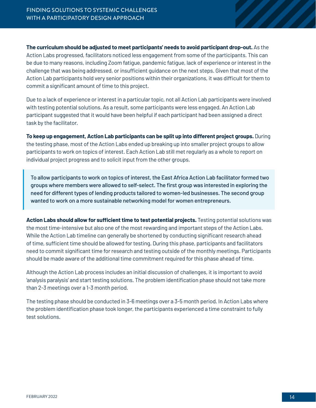**The curriculum should be adjusted to meet participants' needs to avoid participant drop-out.** As the Action Labs progressed, facilitators noticed less engagement from some of the participants. This can be due to many reasons, including Zoom fatigue, pandemic fatigue, lack of experience or interest in the challenge that was being addressed, or insufficient guidance on the next steps. Given that most of the Action Lab participants hold very senior positions within their organizations, it was difficult for them to commit a significant amount of time to this project.

Due to a lack of experience or interest in a particular topic, not all Action Lab participants were involved with testing potential solutions. As a result, some participants were less engaged. An Action Lab participant suggested that it would have been helpful if each participant had been assigned a direct task by the facilitator.

**To keep up engagement, Action Lab participants can be split up into different project groups.** During the testing phase, most of the Action Labs ended up breaking up into smaller project groups to allow participants to work on topics of interest. Each Action Lab still met regularly as a whole to report on individual project progress and to solicit input from the other groups.

To allow participants to work on topics of interest, the East Africa Action Lab facilitator formed two groups where members were allowed to self-select. The first group was interested in exploring the need for different types of lending products tailored to women-led businesses. The second group wanted to work on a more sustainable networking model for women entrepreneurs.

**Action Labs should allow for sufficient time to test potential projects.** Testing potential solutions was the most time-intensive but also one of the most rewarding and important steps of the Action Labs. While the Action Lab timeline can generally be shortened by conducting significant research ahead of time, sufficient time should be allowed for testing. During this phase, participants and facilitators need to commit significant time for research and testing outside of the monthly meetings. Participants should be made aware of the additional time commitment required for this phase ahead of time.

Although the Action Lab process includes an initial discussion of challenges, it is important to avoid 'analysis paralysis' and start testing solutions. The problem identification phase should not take more than 2-3 meetings over a 1-3 month period.

The testing phase should be conducted in 3-6 meetings over a 3-5 month period. In Action Labs where the problem identification phase took longer, the participants experienced a time constraint to fully test solutions.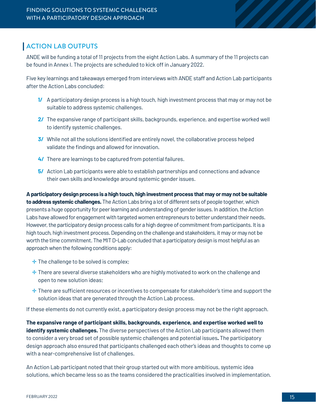### <span id="page-14-0"></span>ACTION LAB OUTPUTS

ANDE will be funding a total of 11 projects from the eight Action Labs. A summary of the 11 projects can be found in Annex I. The projects are scheduled to kick off in January 2022.

Five key learnings and takeaways emerged from interviews with ANDE staff and Action Lab participants after the Action Labs concluded:

- **1/** A participatory design process is a high touch, high investment process that may or may not be suitable to address systemic challenges.
- **2/** The expansive range of participant skills, backgrounds, experience, and expertise worked well to identify systemic challenges.
- **3/** While not all the solutions identified are entirely novel, the collaborative process helped validate the findings and allowed for innovation.
- **4/** There are learnings to be captured from potential failures.
- **5/** Action Lab participants were able to establish partnerships and connections and advance their own skills and knowledge around systemic gender issues.

**A participatory design process is a high touch, high investment process that may or may not be suitable to address systemic challenges.** The Action Labs bring a lot of different sets of people together, which presents a huge opportunity for peer learning and understanding of gender issues. In addition, the Action Labs have allowed for engagement with targeted women entrepreneurs to better understand their needs. However, the participatory design process calls for a high degree of commitment from participants. It is a high touch, high investment process. Depending on the challenge and stakeholders, it may or may not be worth the time commitment. The MIT D-Lab concluded that a participatory design is most helpful as an approach when the following conditions apply:

- $\div$  The challenge to be solved is complex;
- $\div$  There are several diverse stakeholders who are highly motivated to work on the challenge and open to new solution ideas;
- $\pm$  There are sufficient resources or incentives to compensate for stakeholder's time and support the solution ideas that are generated through the Action Lab process.

If these elements do not currently exist, a participatory design process may not be the right approach.

**The expansive range of participant skills, backgrounds, experience, and expertise worked well to identify systemic challenges.** The diverse perspectives of the Action Lab participants allowed them to consider a very broad set of possible systemic challenges and potential issues**.** The participatory design approach also ensured that participants challenged each other's ideas and thoughts to come up with a near-comprehensive list of challenges.

An Action Lab participant noted that their group started out with more ambitious, systemic idea solutions, which became less so as the teams considered the practicalities involved in implementation.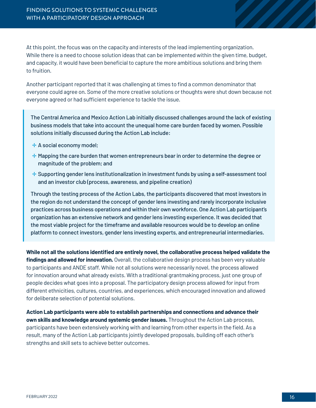At this point, the focus was on the capacity and interests of the lead implementing organization. While there is a need to choose solution ideas that can be implemented within the given time, budget, and capacity, it would have been beneficial to capture the more ambitious solutions and bring them to fruition.

Another participant reported that it was challenging at times to find a common denominator that everyone could agree on. Some of the more creative solutions or thoughts were shut down because not everyone agreed or had sufficient experience to tackle the issue.

The Central America and Mexico Action Lab initially discussed challenges around the lack of existing business models that take into account the unequal home care burden faced by women. Possible solutions initially discussed during the Action Lab include:

- $\pm$  A social economy model;
- $\pm$  Mapping the care burden that women entrepreneurs bear in order to determine the degree or magnitude of the problem; and
- ✛ Supporting gender lens institutionalization in investment funds by using a self-assessment tool and an investor club (process, awareness, and pipeline creation)

Through the testing process of the Action Labs, the participants discovered that most investors in the region do not understand the concept of gender lens investing and rarely incorporate inclusive practices across business operations and within their own workforce. One Action Lab participant's organization has an extensive network and gender lens investing experience. It was decided that the most viable project for the timeframe and available resources would be to develop an online platform to connect investors, gender lens investing experts, and entrepreneurial intermediaries.

**While not all the solutions identified are entirely novel, the collaborative process helped validate the findings and allowed for innovation.** Overall, the collaborative design process has been very valuable to participants and ANDE staff. While not all solutions were necessarily novel, the process allowed for innovation around what already exists. With a traditional grantmaking process, just one group of people decides what goes into a proposal. The participatory design process allowed for input from different ethnicities, cultures, countries, and experiences, which encouraged innovation and allowed for deliberate selection of potential solutions.

**Action Lab participants were able to establish partnerships and connections and advance their own skills and knowledge around systemic gender issues.** Throughout the Action Lab process, participants have been extensively working with and learning from other experts in the field. As a result, many of the Action Lab participants jointly developed proposals, building off each other's strengths and skill sets to achieve better outcomes.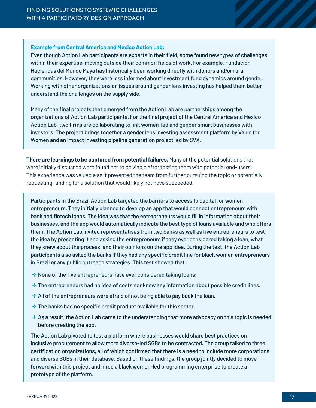#### **Example from Central America and Mexico Action Lab:**

Even though Action Lab participants are experts in their field, some found new types of challenges within their expertise, moving outside their common fields of work. For example, Fundación Haciendas del Mundo Maya has historically been working directly with donors and/or rural communities. However, they were less informed about investment fund dynamics around gender. Working with other organizations on issues around gender lens investing has helped them better understand the challenges on the supply side.

Many of the final projects that emerged from the Action Lab are partnerships among the organizations of Action Lab participants. For the final project of the Central America and Mexico Action Lab, two firms are collaborating to link women-led and gender smart businesses with investors. The project brings together a gender lens investing assessment platform by Value for Women and an impact investing pipeline generation project led by SVX.

**There are learnings to be captured from potential failures.** Many of the potential solutions that were initially discussed were found not to be viable after testing them with potential end-users. This experience was valuable as it prevented the team from further pursuing the topic or potentially requesting funding for a solution that would likely not have succeeded.

Participants in the Brazil Action Lab targeted the barriers to access to capital for women entrepreneurs. They initially planned to develop an app that would connect entrepreneurs with bank and fintech loans. The idea was that the entrepreneurs would fill in information about their businesses, and the app would automatically indicate the best type of loans available and who offers them. The Action Lab invited representatives from two banks as well as five entrepreneurs to test the idea by presenting it and asking the entrepreneurs if they ever considered taking a loan, what they knew about the process, and their opinions on the app idea. During the test, the Action Lab participants also asked the banks if they had any specific credit line for black women entrepreneurs in Brazil or any public outreach strategies. This test showed that:

- $\pm$  None of the five entrepreneurs have ever considered taking loans;
- $\pm$  The entrepreneurs had no idea of costs nor knew any information about possible credit lines.
- $\pm$  All of the entrepreneurs were afraid of not being able to pay back the loan.
- $+$  The banks had no specific credit product available for this sector.
- $+$  As a result, the Action Lab came to the understanding that more advocacy on this topic is needed before creating the app.

The Action Lab pivoted to test a platform where businesses would share best practices on inclusive procurement to allow more diverse-led SGBs to be contracted. The group talked to three certification organizations, all of which confirmed that there is a need to include more corporations and diverse SGBs in their database. Based on these findings, the group jointly decided to move forward with this project and hired a black women-led programming enterprise to create a prototype of the platform.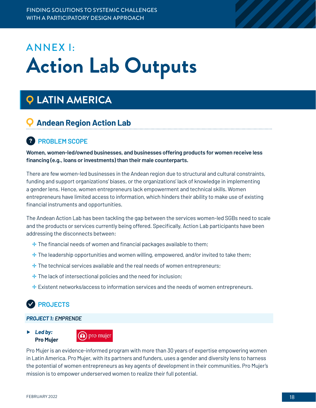# <span id="page-17-0"></span>ANNEX I: **Action Lab Outputs**

## **LATIN AMERICA**

## **Andean Region Action Lab**

## **? PROBLEM SCOPE**

**Women, women-led/owned businesses, and businesses offering products for women receive less financing (e.g., loans or investments) than their male counterparts.**

There are few women-led businesses in the Andean region due to structural and cultural constraints, funding and support organizations' biases, or the organizations' lack of knowledge in implementing a gender lens. Hence, women entrepreneurs lack empowerment and technical skills. Women entrepreneurs have limited access to information, which hinders their ability to make use of existing financial instruments and opportunities.

The Andean Action Lab has been tackling the gap between the services women-led SGBs need to scale and the products or services currently being offered. Specifically, Action Lab participants have been addressing the disconnects between:

- $\pm$  The financial needs of women and financial packages available to them;
- **<sup>→</sup>** The leadership opportunities and women willing, empowered, and/or invited to take them;
- $\div$  The technical services available and the real needs of women entrepreneurs;
- $\pm$  The lack of intersectional policies and the need for inclusion;
- ✛ Existent networks/access to information services and the needs of women entrepreneurs.

## **PROJECTS**

#### *PROJECT 1: EMPRENDE*

#### ▶ *Led by:* **Pro Mujer**



Pro Mujer is an evidence-informed program with more than 30 years of expertise empowering women in Latin America. Pro Mujer, with its partners and funders, uses a gender and diversity lens to harness the potential of women entrepreneurs as key agents of development in their communities. Pro Mujer's mission is to empower underserved women to realize their full potential.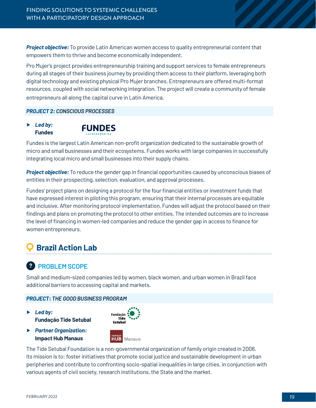*Project objective:* To provide Latin American women access to quality entrepreneurial content that empowers them to thrive and become economically independent.

Pro Mujer's project provides entrepreneurship training and support services to female entrepreneurs during all stages of their business journey by providing them access to their platform, leveraging both digital technology and existing physical Pro Mujer branches. Entrepreneurs are offered multi-format resources, coupled with social networking integration. The project will create a community of female entrepreneurs all along the capital curve in Latin America.

#### *PROJECT 2: CONSCIOUS PROCESSES*

▶ *Led by:* **Fundes**



Fundes is the largest Latin American non-profit organization dedicated to the sustainable growth of micro and small businesses and their ecosystems. Fundes works with large companies in successfully integrating local micro and small businesses into their supply chains.

*Project objective:* To reduce the gender gap in financial opportunities caused by unconscious biases of entities in their prospecting, selection, evaluation, and approval processes.

Fundes' project plans on designing a protocol for the four financial entities or investment funds that have expressed interest in piloting this program, ensuring that their internal processes are equitable and inclusive. After monitoring protocol implementation, Fundes will adjust the protocol based on their findings and plans on promoting the protocol to other entities. The intended outcomes are to increase the level of financing in women-led companies and reduce the gender gap in access to finance for women entrepreneurs.

## **Brazil Action Lab**

## **? PROBLEM SCOPE**

Small and medium-sized companies led by women, black women, and urban women in Brazil face additional barriers to accessing capital and markets.

#### *PROJECT: THE GOOD BUSINESS PROGRAM*

▶ *Led by:* **Fundação Tide Setubal**



▶ *Partner Organization:* **Impact Hub Manaus**



The Tide Setubal Foundation is a non-governmental organization of family origin created in 2006. Its mission is to: foster initiatives that promote social justice and sustainable development in urban peripheries and contribute to confronting socio-spatial inequalities in large cities, in conjunction with various agents of civil society, research institutions, the State and the market.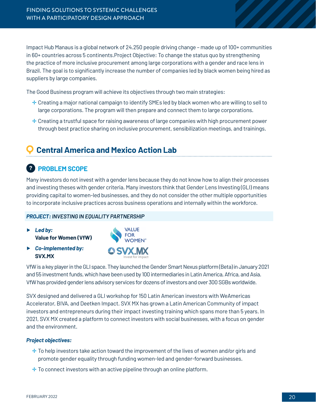Impact Hub Manaus is a global network of 24.250 people driving change – made up of 100+ communities in 60+ countries across 5 continents.Project Objective: To change the status quo by strengthening the practice of more inclusive procurement among large corporations with a gender and race lens in Brazil. The goal is to significantly increase the number of companies led by black women being hired as suppliers by large companies.

The Good Business program will achieve its objectives through two main strategies:

- ✛ Creating a major national campaign to identify SMEs led by black women who are willing to sell to large corporations. The program will then prepare and connect them to large corporations.
- $\pm$  Creating a trustful space for raising awareness of large companies with high procurement power through best practice sharing on inclusive procurement, sensibilization meetings, and trainings.

## **Central America and Mexico Action Lab**

## **? PROBLEM SCOPE**

Many investors do not invest with a gender lens because they do not know how to align their processes and investing theses with gender criteria. Many investors think that Gender Lens Investing (GLI) means providing capital to women-led businesses, and they do not consider the other multiple opportunities to incorporate inclusive practices across business operations and internally within the workforce.

#### *PROJECT: INVESTING IN EQUALITY PARTNERSHIP*

- ▶ *Led by:* **Value for Women (VfW)**
- ▶ *Co-implemented by:* **SVX.MX**



VfW is a key player in the GLI space. They launched the Gender Smart Nexus platform (Beta) in January 2021 and 55 investment funds, which have been used by 100 intermediaries in Latin America, Africa, and Asia. VfW has provided gender lens advisory services for dozens of investors and over 300 SGBs worldwide.

SVX designed and delivered a GLI workshop for 150 Latin American investors with WeAmericas Accelerator, BIVA, and Deetken Impact. SVX MX has grown a Latin American Community of impact investors and entrepreneurs during their impact investing training which spans more than 5 years. In 2021, SVX MX created a platform to connect investors with social businesses, with a focus on gender and the environment.

#### *Project objectives:*

- $\pm$  To help investors take action toward the improvement of the lives of women and/or girls and promote gender equality through funding women-led and gender-forward businesses.
- $\pm$  To connect investors with an active pipeline through an online platform.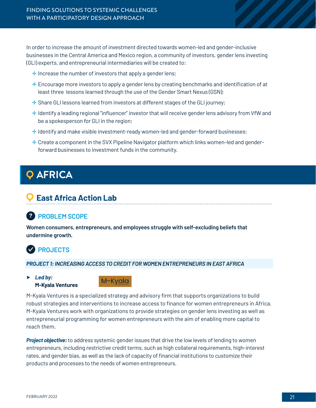<span id="page-20-0"></span>In order to increase the amount of investment directed towards women-led and gender-inclusive businesses in the Central America and Mexico region, a community of investors, gender lens investing (GLI) experts, and entrepreneurial intermediaries will be created to:

- $\pm$  Increase the number of investors that apply a gender lens;
- ✛ Encourage more investors to apply a gender lens by creating benchmarks and identification of at least three lessons learned through the use of the Gender Smart Nexus (GSN);
- ✛ Share GLI lessons learned from investors at different stages of the GLI journey;
- ✛ Identify a leading regional "influencer" investor that will receive gender lens advisory from VfW and be a spokesperson for GLI in the region;
- $\pm$  Identify and make visible investment-ready women-led and gender-forward businesses;
- ✛ Create a component in the SVX Pipeline Navigator platform which links women-led and genderforward businesses to investment funds in the community.

## **AFRICA**

## **East Africa Action Lab**

## **? PROBLEM SCOPE**

**Women consumers, entrepreneurs, and employees struggle with self-excluding beliefs that undermine growth.**

## **PROJECTS**

#### *PROJECT 1: INCREASING ACCESS TO CREDIT FOR WOMEN ENTREPRENEURS IN EAST AFRICA*

▶ *Led by:* **M-Kyala Ventures**



M-Kyala Ventures is a specialized strategy and advisory firm that supports organizations to build robust strategies and interventions to increase access to finance for women entrepreneurs in Africa. M-Kyala Ventures work with organizations to provide strategies on gender lens investing as well as entrepreneurial programming for women entrepreneurs with the aim of enabling more capital to reach them.

*Project objective:* to address systemic gender issues that drive the low levels of lending to women entrepreneurs, including restrictive credit terms, such as high collateral requirements, high-interest rates, and gender bias, as well as the lack of capacity of financial institutions to customize their products and processes to the needs of women entrepreneurs.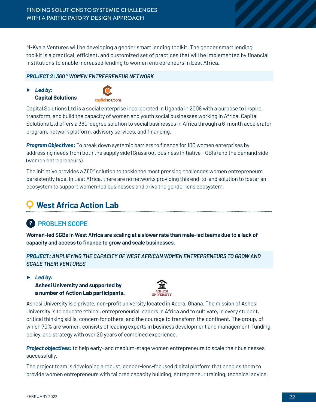M-Kyala Ventures will be developing a gender smart lending toolkit. The gender smart lending toolkit is a practical, efficient, and customized set of practices that will be implemented by financial institutions to enable increased lending to women entrepreneurs in East Africa.

#### *PROJECT 2: 360 ° WOMEN ENTREPRENEUR NETWORK*

▶ *Led by:* **Capital Solutions** 



Capital Solutions Ltd is a social enterprise incorporated in Uganda in 2008 with a purpose to inspire, transform, and build the capacity of women and youth social businesses working in Africa. Capital Solutions Ltd offers a 360-degree solution to social businesses in Africa through a 6-month accelerator program, network platform, advisory services, and financing.

*Program Objectives:* To break down systemic barriers to finance for 100 women enterprises by addressing needs from both the supply side (Grassroot Business Initiative - GBIs) and the demand side (women entrepreneurs).

The initiative provides a 360° solution to tackle the most pressing challenges women entrepreneurs persistently face. In East Africa, there are no networks providing this end-to-end solution to foster an ecosystem to support women-led businesses and drive the gender lens ecosystem.

## **West Africa Action Lab**

## **? PROBLEM SCOPE**

**Women-led SGBs in West Africa are scaling at a slower rate than male-led teams due to a lack of capacity and access to finance to grow and scale businesses.**

*PROJECT: AMPLIFYING THE CAPACITY OF WEST AFRICAN WOMEN ENTREPRENEURS TO GROW AND SCALE THEIR VENTURES* 

▶ *Led by:*

**Ashesi University and supported by a number of Action Lab participants.** 



Ashesi University is a private, non-profit university located in Accra, Ghana. The mission of Ashesi University is to educate ethical, entrepreneurial leaders in Africa and to cultivate, in every student, critical thinking skills, concern for others, and the courage to transform the continent. The group, of which 70% are women, consists of leading experts in business development and management, funding, policy, and strategy with over 20 years of combined experience.

*Project objectives:* to help early- and medium-stage women entrepreneurs to scale their businesses successfully.

The project team is developing a robust, gender-lens-focused digital platform that enables them to provide women entrepreneurs with tailored capacity building, entrepreneur training, technical advice,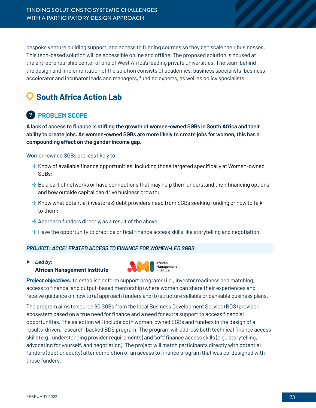bespoke venture building support, and access to funding sources so they can scale their businesses. This tech-based solution will be accessible online and offline. The proposed solution is housed at the entrepreneurship center of one of West Africa's leading private universities. The team behind the design and implementation of the solution consists of academics, business specialists, business accelerator and incubator leads and managers, funding experts, as well as policy specialists.

## **South Africa Action Lab**

## **? PROBLEM SCOPE**

**A lack of access to finance is stifling the growth of women-owned SGBs in South Africa and their ability to create jobs. As women-owned SGBs are more likely to create jobs for women, this has a compounding effect on the gender income gap.**

Women-owned SGBs are less likely to:

- $\pm$  Know of available finance opportunities, including those targeted specifically at Women-owned SGBs;
- $\pm$  Be a part of networks or have connections that may help them understand their financing options and how outside capital can drive business growth;
- $\pm$  Know what potential investors & debt providers need from SGBs seeking funding or how to talk to them;
- $\pm$  Approach funders directly, as a result of the above;
- ✛ Have the opportunity to practice critical finance access skills like storytelling and negotiation.

#### *PROJECT: ACCELERATED ACCESS TO FINANCE FOR WOMEN-LED SGBS*

▶ *Led by:* **African Management Institute**



*Project objectives:* to establish or form support programs (i.e., investor readiness and matching, access to finance, and output-based mentorship) where women can share their experiences and receive guidance on how to (a) approach funders and (b) structure sellable or bankable business plans.

The program aims to source 60 SGBs from the local Business Development Service (BDS) provider ecosystem based on a true need for finance and a need for extra support to access financial opportunities. The selection will include both women-owned SGBs and funders in the design of a results-driven, research-backed BDS program. The program will address both technical finance access skills (e.g., understanding provider requirements) and 'soft' finance access skills (e.g., storytelling, advocating for yourself, and negotiation). The project will match participants directly with potential funders (debt or equity) after completion of an access to finance program that was co-designed with these funders.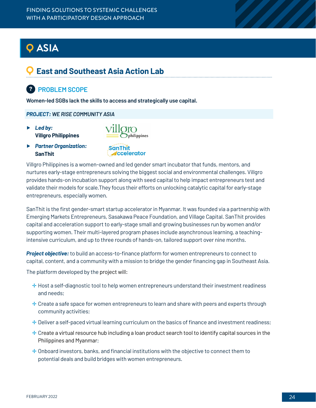## <span id="page-23-0"></span>**ASIA**

## **East and Southeast Asia Action Lab**

## **? PROBLEM SCOPE**

**Women-led SGBs lack the skills to access and strategically use capital.**

*PROJECT: WE RISE COMMUNITY ASIA*

- ▶ *Led by:* **Villgro Philippines**
- ▶ *Partner Organization:* **SanThit**
- 
- SanThit **ccelerator**

Villgro Philippines is a women-owned and led gender smart incubator that funds, mentors, and nurtures early-stage entrepreneurs solving the biggest social and environmental challenges. Villgro provides hands-on incubation support along with seed capital to help impact entrepreneurs test and validate their models for scale.They focus their efforts on unlocking catalytic capital for early-stage entrepreneurs, especially women.

SanThit is the first gender-smart startup accelerator in Myanmar. It was founded via a partnership with Emerging Markets Entrepreneurs, Sasakawa Peace Foundation, and Village Capital. SanThit provides capital and acceleration support to early-stage small and growing businesses run by women and/or supporting women. Their multi-layered program phases include asynchronous learning, a teachingintensive curriculum, and up to three rounds of hands-on, tailored support over nine months.

*Project objective:* to build an access-to-finance platform for women entrepreneurs to connect to capital, content, and a community with a mission to bridge the gender financing gap in Southeast Asia.

The platform developed by the project will:

- $\pm$  Host a self-diagnostic tool to help women entrepreneurs understand their investment readiness and needs;
- $\pm$  Create a safe space for women entrepreneurs to learn and share with peers and experts through community activities;
- $\pm$  Deliver a self-paced virtual learning curriculum on the basics of finance and investment readiness;
- $\pm$  Create a virtual resource hub including a loan product search tool to identify capital sources in the Philippines and Myanmar;
- ✛ Onboard investors, banks, and financial institutions with the objective to connect them to potential deals and build bridges with women entrepreneurs.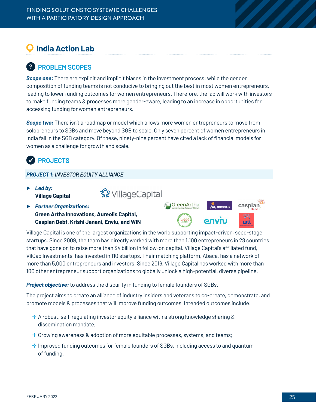## **India Action Lab**

## **? PROBLEM SCOPES**

**Scope one:** There are explicit and implicit biases in the investment process; while the gender composition of funding teams is not conducive to bringing out the best in most women entrepreneurs, leading to lower funding outcomes for women entrepreneurs. Therefore, the lab will work with investors to make funding teams & processes more gender-aware, leading to an increase in opportunities for accessing funding for women entrepreneurs.

*Scope two:* There isn't a roadmap or model which allows more women entrepreneurs to move from solopreneurs to SGBs and move beyond SGB to scale. Only seven percent of women entrepreneurs in India fall in the SGB category. Of these, ninety-nine percent have cited a lack of financial models for women as a challenge for growth and scale.

२९ VillageCapital

## **PROJECTS**

#### *PROJECT 1: INVESTOR EQUITY ALLIANCE*

- ▶ *Led by:* **Village Capital**
- ▶ *Partner Organizations:* **Green Artha Innovations, Aureolis Capital, Caspian Debt, Krishi Janani, Enviu, and WIN**



Village Capital is one of the largest organizations in the world supporting impact-driven, seed-stage startups. Since 2009, the team has directly worked with more than 1,100 entrepreneurs in 28 countries that have gone on to raise more than \$4 billion in follow-on capital. Village Capital's affiliated fund, VilCap Investments, has invested in 110 startups. Their matching platform, Abaca, has a network of more than 5,000 entrepreneurs and investors. Since 2016, Village Capital has worked with more than 100 other entrepreneur support organizations to globally unlock a high-potential, diverse pipeline.

*Project objective:*to address the disparity in funding to female founders of SGBs.

The project aims to create an alliance of industry insiders and veterans to co-create, demonstrate, and promote models & processes that will improve funding outcomes. Intended outcomes include:

- $\pm$  A robust, self-regulating investor equity alliance with a strong knowledge sharing & dissemination mandate;
- $\pm$  Growing awareness & adoption of more equitable processes, systems, and teams;
- ✛ Improved funding outcomes for female founders of SGBs, including access to and quantum of funding.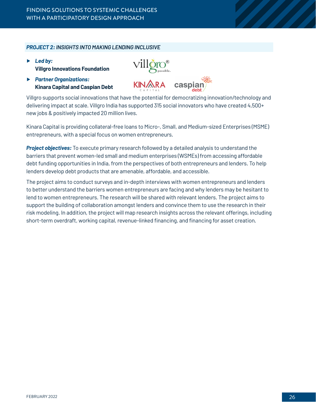#### *PROJECT 2: INSIGHTS INTO MAKING LENDING INCLUSIVE*

- ▶ *Led by:* **Villgro Innovations Foundation**
- ▶ *Partner Organizations:* **Kinara Capital and Caspian Debt**



Villgro supports social innovations that have the potential for democratizing innovation/technology and delivering impact at scale. Villgro India has supported 315 social innovators who have created 4,500+ new jobs & positively impacted 20 million lives.

Kinara Capital is providing collateral-free loans to Micro-, Small, and Medium-sized Enterprises (MSME) entrepreneurs, with a special focus on women entrepreneurs.

*Project objectives:* To execute primary research followed by a detailed analysis to understand the barriers that prevent women-led small and medium enterprises (WSMEs) from accessing affordable debt funding opportunities in India, from the perspectives of both entrepreneurs and lenders. To help lenders develop debt products that are amenable, affordable, and accessible.

The project aims to conduct surveys and in-depth interviews with women entrepreneurs and lenders to better understand the barriers women entrepreneurs are facing and why lenders may be hesitant to lend to women entrepreneurs. The research will be shared with relevant lenders. The project aims to support the building of collaboration amongst lenders and convince them to use the research in their risk modeling. In addition, the project will map research insights across the relevant offerings, including short-term overdraft, working capital, revenue-linked financing, and financing for asset creation.